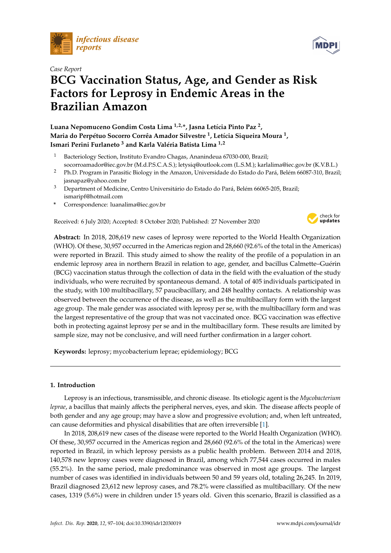

# *Case Report*

# **BCG Vaccination Status, Age, and Gender as Risk Factors for Leprosy in Endemic Areas in the Brazilian Amazon**

**Luana Nepomuceno Gondim Costa Lima 1,2,\*, Jasna Letícia Pinto Paz <sup>2</sup> , Maria do Perpétuo Socorro Corrêa Amador Silvestre <sup>1</sup> , Letícia Siqueira Moura <sup>1</sup> , Ismari Perini Furlaneto <sup>3</sup> and Karla Valéria Batista Lima 1,2**

- Bacteriology Section, Instituto Evandro Chagas, Ananindeua 67030-000, Brazil; socorroamador@iec.gov.br (M.d.P.S.C.A.S.); letysiq@outlook.com (L.S.M.); karlalima@iec.gov.br (K.V.B.L.)
- <sup>2</sup> Ph.D. Program in Parasitic Biology in the Amazon, Universidade do Estado do Pará, Belém 66087-310, Brazil; jasnapaz@yahoo.com.br
- <sup>3</sup> Department of Medicine, Centro Universitário do Estado do Pará, Belém 66065-205, Brazil; ismaripf@hotmail.com
- **\*** Correspondence: luanalima@iec.gov.br

Received: 6 July 2020; Accepted: 8 October 2020; Published: 27 November 2020



**Abstract:** In 2018, 208,619 new cases of leprosy were reported to the World Health Organization (WHO). Of these, 30,957 occurred in the Americas region and 28,660 (92.6% of the total in the Americas) were reported in Brazil. This study aimed to show the reality of the profile of a population in an endemic leprosy area in northern Brazil in relation to age, gender, and bacillus Calmette–Guérin (BCG) vaccination status through the collection of data in the field with the evaluation of the study individuals, who were recruited by spontaneous demand. A total of 405 individuals participated in the study, with 100 multibacillary, 57 paucibacillary, and 248 healthy contacts. A relationship was observed between the occurrence of the disease, as well as the multibacillary form with the largest age group. The male gender was associated with leprosy per se, with the multibacillary form and was the largest representative of the group that was not vaccinated once. BCG vaccination was effective both in protecting against leprosy per se and in the multibacillary form. These results are limited by sample size, may not be conclusive, and will need further confirmation in a larger cohort.

**Keywords:** leprosy; mycobacterium leprae; epidemiology; BCG

# **1. Introduction**

Leprosy is an infectious, transmissible, and chronic disease. Its etiologic agent is the *Mycobacterium leprae*, a bacillus that mainly affects the peripheral nerves, eyes, and skin. The disease affects people of both gender and any age group; may have a slow and progressive evolution; and, when left untreated, can cause deformities and physical disabilities that are often irreversible [\[1\]](#page-5-0).

In 2018, 208,619 new cases of the disease were reported to the World Health Organization (WHO). Of these, 30,957 occurred in the Americas region and 28,660 (92.6% of the total in the Americas) were reported in Brazil, in which leprosy persists as a public health problem. Between 2014 and 2018, 140,578 new leprosy cases were diagnosed in Brazil, among which 77,544 cases occurred in males (55.2%). In the same period, male predominance was observed in most age groups. The largest number of cases was identified in individuals between 50 and 59 years old, totaling 26,245. In 2019, Brazil diagnosed 23,612 new leprosy cases, and 78.2% were classified as multibacillary. Of the new cases, 1319 (5.6%) were in children under 15 years old. Given this scenario, Brazil is classified as a

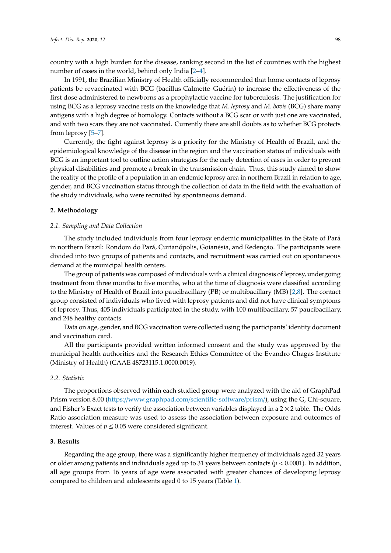country with a high burden for the disease, ranking second in the list of countries with the highest number of cases in the world, behind only India [\[2–](#page-5-1)[4\]](#page-5-2).

In 1991, the Brazilian Ministry of Health officially recommended that home contacts of leprosy patients be revaccinated with BCG (bacillus Calmette–Guérin) to increase the effectiveness of the first dose administered to newborns as a prophylactic vaccine for tuberculosis. The justification for using BCG as a leprosy vaccine rests on the knowledge that *M. leprosy* and *M. bovis* (BCG) share many antigens with a high degree of homology. Contacts without a BCG scar or with just one are vaccinated, and with two scars they are not vaccinated. Currently there are still doubts as to whether BCG protects from leprosy [\[5–](#page-5-3)[7\]](#page-5-4).

Currently, the fight against leprosy is a priority for the Ministry of Health of Brazil, and the epidemiological knowledge of the disease in the region and the vaccination status of individuals with BCG is an important tool to outline action strategies for the early detection of cases in order to prevent physical disabilities and promote a break in the transmission chain. Thus, this study aimed to show the reality of the profile of a population in an endemic leprosy area in northern Brazil in relation to age, gender, and BCG vaccination status through the collection of data in the field with the evaluation of the study individuals, who were recruited by spontaneous demand.

## **2. Methodology**

## *2.1. Sampling and Data Collection*

The study included individuals from four leprosy endemic municipalities in the State of Pará in northern Brazil: Rondom do Pará, Curianópolis, Goianésia, and Redenção. The participants were divided into two groups of patients and contacts, and recruitment was carried out on spontaneous demand at the municipal health centers.

The group of patients was composed of individuals with a clinical diagnosis of leprosy, undergoing treatment from three months to five months, who at the time of diagnosis were classified according to the Ministry of Health of Brazil into paucibacillary (PB) or multibacillary (MB) [\[2,](#page-5-1)[8\]](#page-5-5). The contact group consisted of individuals who lived with leprosy patients and did not have clinical symptoms of leprosy. Thus, 405 individuals participated in the study, with 100 multibacillary, 57 paucibacillary, and 248 healthy contacts.

Data on age, gender, and BCG vaccination were collected using the participants' identity document and vaccination card.

All the participants provided written informed consent and the study was approved by the municipal health authorities and the Research Ethics Committee of the Evandro Chagas Institute (Ministry of Health) (CAAE 48723115.1.0000.0019).

#### *2.2. Statistic*

The proportions observed within each studied group were analyzed with the aid of GraphPad Prism version 8.00 (https://[www.graphpad.com](https://www.graphpad.com/scientific-software/prism/)/scientific-software/prism/), using the G, Chi-square, and Fisher's Exact tests to verify the association between variables displayed in a  $2 \times 2$  table. The Odds Ratio association measure was used to assess the association between exposure and outcomes of interest. Values of  $p \leq 0.05$  were considered significant.

#### **3. Results**

Regarding the age group, there was a significantly higher frequency of individuals aged 32 years or older among patients and individuals aged up to 31 years between contacts (*p* < 0.0001). In addition, all age groups from 16 years of age were associated with greater chances of developing leprosy compared to children and adolescents aged 0 to 15 years (Table [1\)](#page-2-0).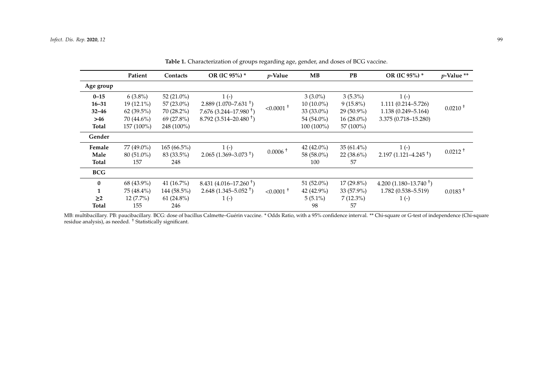|            | Patient      | Contacts      | OR (IC 95%) *             | $p$ -Value              | MB            | PB           | OR (IC 95%) *              | $p$ -Value ** |
|------------|--------------|---------------|---------------------------|-------------------------|---------------|--------------|----------------------------|---------------|
| Age group  |              |               |                           |                         |               |              |                            |               |
| $0 - 15$   | $6(3.8\%)$   | 52 $(21.0\%)$ | $1(-)$                    |                         | $3(3.0\%)$    | $3(5.3\%)$   | $1(-)$                     |               |
| $16 - 31$  | $19(12.1\%)$ | $57(23.0\%)$  | $2.889(1.070 - 7.631)^+$  | $< 0.0001$ <sup>+</sup> | $10(10.0\%)$  | $9(15.8\%)$  | 1.111 (0.214-5.726)        | $0.0210 +$    |
| $32 - 46$  | $62(39.5\%)$ | 70 (28.2%)    | $7.676(3.244 - 17.980)^+$ |                         | 33 (33.0%)    | 29 (50.9%)   | 1.138 (0.249-5.164)        |               |
| >46        | 70 (44.6%)   | $69(27.8\%)$  | $8.792(3.514 - 20.480)^+$ |                         | 54 (54.0%)    | $16(28.0\%)$ | 3.375 (0.718-15.280)       |               |
| Total      | 157 (100%)   | 248 (100%)    |                           |                         | 100 (100%)    | 57 (100%)    |                            |               |
| Gender     |              |               |                           |                         |               |              |                            |               |
| Female     | 77 (49.0%)   | $165(66.5\%)$ | $1(-)$                    | $0.0006 +$              | 42 $(42.0\%)$ | $35(61.4\%)$ | $1(-)$                     | $0.0212 +$    |
| Male       | 80 (51.0%)   | 83 (33.5%)    | $2.065(1.369 - 3.073^+)$  |                         | 58 (58.0%)    | $22(38.6\%)$ | $2.197(1.121 - 4.245)^+$   |               |
| Total      | 157          | 248           |                           |                         | 100           | 57           |                            |               |
| <b>BCG</b> |              |               |                           |                         |               |              |                            |               |
| $\bf{0}$   | 68 (43.9%)   | 41 $(16.7\%)$ | $8.431(4.016-17.260)^+$   |                         | 51 (52.0%)    | $17(29.8\%)$ | 4.200 $(1.180 - 13.740)^+$ |               |
|            | 75 (48.4%)   | 144 (58.5%)   | $2.648(1.345 - 5.052^+)$  | $< 0.0001$ <sup>+</sup> | 42 (42.9%)    | 33 (57.9%)   | $1.782(0.538 - 5.519)$     | $0.0183 +$    |
| $\geq$ 2   | $12(7.7\%)$  | $61(24.8\%)$  | $1(-)$                    |                         | $5(5.1\%)$    | $7(12.3\%)$  | $1(-)$                     |               |
| Total      | 155          | 246           |                           |                         | 98            | 57           |                            |               |

**Table 1.** Characterization of groups regarding age, gender, and doses of BCG vaccine.

<span id="page-2-0"></span>MB: multibacillary. PB: paucibacillary. BCG: dose of bacillus Calmette–Guérin vaccine. \* Odds Ratio, with a 95% confidence interval. \*\* Chi-square or G-test of independence (Chi-square residue analysis), as needed. † Statistically significant.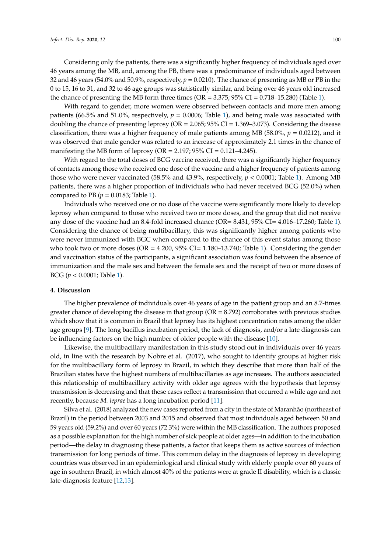Considering only the patients, there was a significantly higher frequency of individuals aged over 46 years among the MB, and, among the PB, there was a predominance of individuals aged between 32 and 46 years (54.0% and 50.9%, respectively, *p* = 0.0210). The chance of presenting as MB or PB in the 0 to 15, 16 to 31, and 32 to 46 age groups was statistically similar, and being over 46 years old increased the chance of presenting the MB form three times (OR =  $3.375$ ;  $95\%$  CI =  $0.718-15.280$ ) (Table [1\)](#page-2-0).

With regard to gender, more women were observed between contacts and more men among patients (66.5% and 51.0%, respectively,  $p = 0.0006$ ; Table [1\)](#page-2-0), and being male was associated with doubling the chance of presenting leprosy (OR = 2.065; 95% CI = 1.369–3.073). Considering the disease classification, there was a higher frequency of male patients among MB (58.0%, *p* = 0.0212), and it was observed that male gender was related to an increase of approximately 2.1 times in the chance of manifesting the MB form of leprosy (OR = 2.197; 95% CI = 0.121–4.245).

With regard to the total doses of BCG vaccine received, there was a significantly higher frequency of contacts among those who received one dose of the vaccine and a higher frequency of patients among those who were never vaccinated (58.5% and 43.9%, respectively,  $p < 0.0001$ ; Table [1\)](#page-2-0). Among MB patients, there was a higher proportion of individuals who had never received BCG (52.0%) when compared to PB ( $p = 0.0183$ ; Table [1\)](#page-2-0).

Individuals who received one or no dose of the vaccine were significantly more likely to develop leprosy when compared to those who received two or more doses, and the group that did not receive any dose of the vaccine had an 8.4-fold increased chance (OR= 8.431, 95% CI= 4.016–17.260; Table [1\)](#page-2-0). Considering the chance of being multibacillary, this was significantly higher among patients who were never immunized with BGC when compared to the chance of this event status among those who took two or more doses ( $OR = 4.200$ ,  $95\% CI = 1.180-13.740$ ; Table [1\)](#page-2-0). Considering the gender and vaccination status of the participants, a significant association was found between the absence of immunization and the male sex and between the female sex and the receipt of two or more doses of BCG (*p* < 0.0001; Table [1\)](#page-2-0).

#### **4. Discussion**

The higher prevalence of individuals over 46 years of age in the patient group and an 8.7-times greater chance of developing the disease in that group ( $OR = 8.792$ ) corroborates with previous studies which show that it is common in Brazil that leprosy has its highest concentration rates among the older age groups [\[9\]](#page-6-0). The long bacillus incubation period, the lack of diagnosis, and/or a late diagnosis can be influencing factors on the high number of older people with the disease [\[10\]](#page-6-1).

Likewise, the multibacillary manifestation in this study stood out in individuals over 46 years old, in line with the research by Nobre et al. (2017), who sought to identify groups at higher risk for the multibacillary form of leprosy in Brazil, in which they describe that more than half of the Brazilian states have the highest numbers of multibacillaries as age increases. The authors associated this relationship of multibacillary activity with older age agrees with the hypothesis that leprosy transmission is decreasing and that these cases reflect a transmission that occurred a while ago and not recently, because *M. leprae* has a long incubation period [\[11\]](#page-6-2).

Silva et al. (2018) analyzed the new cases reported from a city in the state of Maranhão (northeast of Brazil) in the period between 2003 and 2015 and observed that most individuals aged between 50 and 59 years old (59.2%) and over 60 years (72.3%) were within the MB classification. The authors proposed as a possible explanation for the high number of sick people at older ages—in addition to the incubation period—the delay in diagnosing these patients, a factor that keeps them as active sources of infection transmission for long periods of time. This common delay in the diagnosis of leprosy in developing countries was observed in an epidemiological and clinical study with elderly people over 60 years of age in southern Brazil, in which almost 40% of the patients were at grade II disability, which is a classic late-diagnosis feature [\[12](#page-6-3)[,13\]](#page-6-4).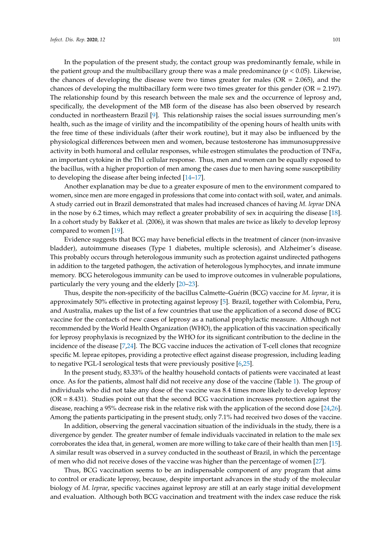In the population of the present study, the contact group was predominantly female, while in the patient group and the multibacillary group there was a male predominance ( $p < 0.05$ ). Likewise, the chances of developing the disease were two times greater for males (OR = 2.065), and the chances of developing the multibacillary form were two times greater for this gender (OR = 2.197). The relationship found by this research between the male sex and the occurrence of leprosy and, specifically, the development of the MB form of the disease has also been observed by research conducted in northeastern Brazil [\[9\]](#page-6-0). This relationship raises the social issues surrounding men's health, such as the image of virility and the incompatibility of the opening hours of health units with the free time of these individuals (after their work routine), but it may also be influenced by the physiological differences between men and women, because testosterone has immunosuppressive activity in both humoral and cellular responses, while estrogen stimulates the production of  $TNF\alpha$ , an important cytokine in the Th1 cellular response. Thus, men and women can be equally exposed to the bacillus, with a higher proportion of men among the cases due to men having some susceptibility to developing the disease after being infected [\[14–](#page-6-5)[17\]](#page-6-6).

Another explanation may be due to a greater exposure of men to the environment compared to women, since men are more engaged in professions that come into contact with soil, water, and animals. A study carried out in Brazil demonstrated that males had increased chances of having *M. leprae* DNA in the nose by 6.2 times, which may reflect a greater probability of sex in acquiring the disease [\[18\]](#page-6-7). In a cohort study by Bakker et al. (2006), it was shown that males are twice as likely to develop leprosy compared to women [\[19\]](#page-6-8).

Evidence suggests that BCG may have beneficial effects in the treatment of câncer (non-invasive bladder), autoimmune diseases (Type 1 diabetes, multiple sclerosis), and Alzheimer's disease. This probably occurs through heterologous immunity such as protection against undirected pathogens in addition to the targeted pathogen, the activation of heterologous lymphocytes, and innate immune memory. BCG heterologous immunity can be used to improve outcomes in vulnerable populations, particularly the very young and the elderly [\[20](#page-6-9)[–23\]](#page-6-10).

Thus, despite the non-specificity of the bacillus Calmette–Guérin (BCG) vaccine for *M. leprae*, it is approximately 50% effective in protecting against leprosy [\[5\]](#page-5-3). Brazil, together with Colombia, Peru, and Australia, makes up the list of a few countries that use the application of a second dose of BCG vaccine for the contacts of new cases of leprosy as a national prophylactic measure. Although not recommended by the World Health Organization (WHO), the application of this vaccination specifically for leprosy prophylaxis is recognized by the WHO for its significant contribution to the decline in the incidence of the disease [\[7](#page-5-4)[,24\]](#page-6-11). The BCG vaccine induces the activation of T-cell clones that recognize specific M. leprae epitopes, providing a protective effect against disease progression, including leading to negative PGL-I serological tests that were previously positive [\[6,](#page-5-6)[25\]](#page-6-12).

In the present study, 83.33% of the healthy household contacts of patients were vaccinated at least once. As for the patients, almost half did not receive any dose of the vaccine (Table [1\)](#page-2-0). The group of individuals who did not take any dose of the vaccine was 8.4 times more likely to develop leprosy  $(OR = 8.431)$ . Studies point out that the second BCG vaccination increases protection against the disease, reaching a 95% decrease risk in the relative risk with the application of the second dose [\[24](#page-6-11)[,26\]](#page-6-13). Among the patients participating in the present study, only 7.1% had received two doses of the vaccine.

In addition, observing the general vaccination situation of the individuals in the study, there is a divergence by gender. The greater number of female individuals vaccinated in relation to the male sex corroborates the idea that, in general, women are more willing to take care of their health than men [\[15\]](#page-6-14). A similar result was observed in a survey conducted in the southeast of Brazil, in which the percentage of men who did not receive doses of the vaccine was higher than the percentage of women [\[27\]](#page-7-0).

Thus, BCG vaccination seems to be an indispensable component of any program that aims to control or eradicate leprosy, because, despite important advances in the study of the molecular biology of *M. leprae*, specific vaccines against leprosy are still at an early stage initial development and evaluation. Although both BCG vaccination and treatment with the index case reduce the risk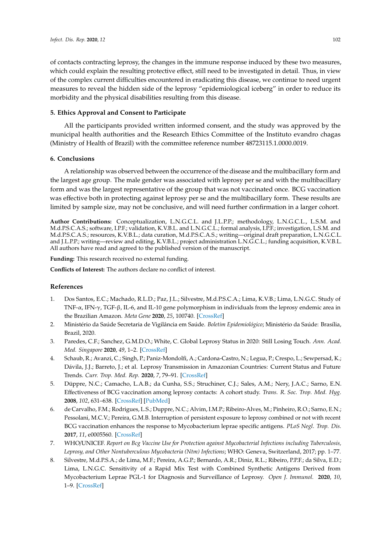of contacts contracting leprosy, the changes in the immune response induced by these two measures, which could explain the resulting protective effect, still need to be investigated in detail. Thus, in view of the complex current difficulties encountered in eradicating this disease, we continue to need urgent measures to reveal the hidden side of the leprosy "epidemiological iceberg" in order to reduce its morbidity and the physical disabilities resulting from this disease.

## **5. Ethics Approval and Consent to Participate**

All the participants provided written informed consent, and the study was approved by the municipal health authorities and the Research Ethics Committee of the Instituto evandro chagas (Ministry of Health of Brazil) with the committee reference number 48723115.1.0000.0019.

#### **6. Conclusions**

A relationship was observed between the occurrence of the disease and the multibacillary form and the largest age group. The male gender was associated with leprosy per se and with the multibacillary form and was the largest representative of the group that was not vaccinated once. BCG vaccination was effective both in protecting against leprosy per se and the multibacillary form. These results are limited by sample size, may not be conclusive, and will need further confirmation in a larger cohort.

**Author Contributions:** Conceptualization, L.N.G.C.L. and J.L.P.P.; methodology, L.N.G.C.L., L.S.M. and M.d.P.S.C.A.S.; software, I.P.F.; validation, K.V.B.L. and L.N.G.C.L.; formal analysis, I.P.F.; investigation, L.S.M. and M.d.P.S.C.A.S.; resources, K.V.B.L.; data curation, M.d.P.S.C.A.S.; writing—original draft preparation, L.N.G.C.L. and J.L.P.P.; writing—review and editing, K.V.B.L.; project administration L.N.G.C.L.; funding acquisition, K.V.B.L. All authors have read and agreed to the published version of the manuscript.

**Funding:** This research received no external funding.

**Conflicts of Interest:** The authors declare no conflict of interest.

# **References**

- <span id="page-5-0"></span>1. Dos Santos, E.C.; Machado, R.L.D.; Paz, J.L.; Silvestre, M.d.P.S.C.A.; Lima, K.V.B.; Lima, L.N.G.C. Study of TNF- $\alpha$ , IFN- $\gamma$ , TGF- $\beta$ , IL-6, and IL-10 gene polymorphism in individuals from the leprosy endemic area in the Brazilian Amazon. *Meta Gene* **2020**, *25*, 100740. [\[CrossRef\]](http://dx.doi.org/10.1016/j.mgene.2020.100740)
- <span id="page-5-1"></span>2. Ministério da Saúde Secretaria de Vigilância em Saúde. *Boletim Epidemiológico*; Ministério da Saúde: Brasília, Brazil, 2020.
- 3. Paredes, C.F.; Sanchez, G.M.D.O.; White, C. Global Leprosy Status in 2020: Still Losing Touch. *Ann. Acad. Med. Singapore* **2020**, *49*, 1–2. [\[CrossRef\]](http://dx.doi.org/10.47102/annals-acadmedsg.2019252)
- <span id="page-5-2"></span>4. Schaub, R.; Avanzi, C.; Singh, P.; Paniz-Mondolfi, A.; Cardona-Castro, N.; Legua, P.; Crespo, L.; Sewpersad, K.; Dávila, J.J.; Barreto, J.; et al. Leprosy Transmission in Amazonian Countries: Current Status and Future Trends. *Curr. Trop. Med. Rep.* **2020**, *7*, 79–91. [\[CrossRef\]](http://dx.doi.org/10.1007/s40475-020-00206-1)
- <span id="page-5-3"></span>5. Düppre, N.C.; Camacho, L.A.B.; da Cunha, S.S.; Struchiner, C.J.; Sales, A.M.; Nery, J.A.C.; Sarno, E.N. Effectiveness of BCG vaccination among leprosy contacts: A cohort study. *Trans. R. Soc. Trop. Med. Hyg.* **2008**, *102*, 631–638. [\[CrossRef\]](http://dx.doi.org/10.1016/j.trstmh.2008.04.015) [\[PubMed\]](http://www.ncbi.nlm.nih.gov/pubmed/18514242)
- <span id="page-5-6"></span>6. de Carvalho, F.M.; Rodrigues, L.S.; Duppre, N.C.; Alvim, I.M.P.; Ribeiro-Alves, M.; Pinheiro, R.O.; Sarno, E.N.; Pessolani, M.C.V.; Pereira, G.M.B. Interruption of persistent exposure to leprosy combined or not with recent BCG vaccination enhances the response to Mycobacterium leprae specific antigens. *PLoS Negl. Trop. Dis.* **2017**, *11*, e0005560. [\[CrossRef\]](http://dx.doi.org/10.1371/journal.pntd.0005560)
- <span id="page-5-4"></span>7. WHO/UNICEF. *Report on Bcg Vaccine Use for Protection against Mycobacterial Infections including Tuberculosis, Leprosy, and Other Nontuberculous Mycobacteria (Ntm) Infections*; WHO: Geneva, Switzerland, 2017; pp. 1–77.
- <span id="page-5-5"></span>8. Silvestre, M.d.P.S.A.; de Lima, M.F.; Pereira, A.G.P.; Bernardo, A.R.; Diniz, R.L.; Ribeiro, P.P.F.; da Silva, E.D.; Lima, L.N.G.C. Sensitivity of a Rapid Mix Test with Combined Synthetic Antigens Derived from Mycobacterium Leprae PGL-1 for Diagnosis and Surveillance of Leprosy. *Open J. Immunol.* **2020**, *10*, 1–9. [\[CrossRef\]](http://dx.doi.org/10.4236/oji.2020.101001)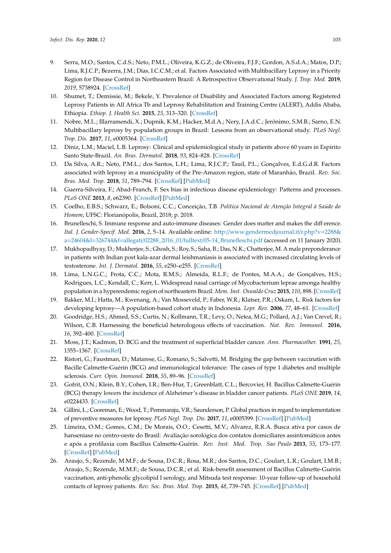- <span id="page-6-0"></span>9. Serra, M.O.; Santos, C.d.S.; Neto, P.M.L.; Oliveira, K.G.Z.; de Oliveira, F.J.F.; Gordon, A.S.d.A.; Matos, D.P.; Lima, R.J.C.P.; Bezerra, J.M.; Dias, I.C.C.M.; et al. Factors Associated with Multibacillary Leprosy in a Priority Region for Disease Control in Northeastern Brazil: A Retrospective Observational Study. *J. Trop. Med.* **2019**, *2019*, 5738924. [\[CrossRef\]](http://dx.doi.org/10.1155/2019/5738924)
- <span id="page-6-1"></span>10. Shumet, T.; Demissie, M.; Bekele, Y. Prevalence of Disability and Associated Factors among Registered Leprosy Patients in All Africa Tb and Leprosy Rehabilitation and Training Centre (ALERT), Addis Ababa, Ethiopia. *Ethiop. J. Health Sci.* **2015**, *25*, 313–320. [\[CrossRef\]](http://dx.doi.org/10.4314/ejhs.v25i4.4)
- <span id="page-6-2"></span>11. Nobre, M.L.; Illarramendi, X.; Dupnik, K.M.; Hacker, M.d.A.; Nery, J.A.d.C.; Jerônimo, S.M.B.; Sarno, E.N. Multibacillary leprosy by population groups in Brazil: Lessons from an observational study. *PLoS Negl. Trop. Dis.* **2017**, *11*, e0005364. [\[CrossRef\]](http://dx.doi.org/10.1371/journal.pntd.0005364)
- <span id="page-6-3"></span>12. Diniz, L.M.; Maciel, L.B. Leprosy: Clinical and epidemiological study in patients above 60 years in Espírito Santo State-Brazil. *An. Bras. Dermatol.* **2018**, *93*, 824–828. [\[CrossRef\]](http://dx.doi.org/10.1590/abd1806-4841.20187092)
- <span id="page-6-4"></span>13. Da Silva, A.R.; Neto, P.M.L.; dos Santos, L.H.; Lima, R.J.C.P.; Tauil, P.L.; Gonçalves, E.d.G.d.R. Factors associated with leprosy in a municipality of the Pre-Amazon region, state of Maranhão, Brazil. *Rev. Soc. Bras. Med. Trop.* **2018**, *51*, 789–794. [\[CrossRef\]](http://dx.doi.org/10.1590/0037-8682-0038-2018) [\[PubMed\]](http://www.ncbi.nlm.nih.gov/pubmed/30517532)
- <span id="page-6-5"></span>14. Guerra-Silveira, F.; Abad-Franch, F. Sex bias in infectious disease epidemiology: Patterns and processes. *PLoS ONE* **2013**, *8*, e62390. [\[CrossRef\]](http://dx.doi.org/10.1371/journal.pone.0062390) [\[PubMed\]](http://www.ncbi.nlm.nih.gov/pubmed/23638062)
- <span id="page-6-14"></span>15. Coelho, E.B.S.; Schwarz, E.; Bolsoni, C.C.; Conceição, T.B. *Política Nacional de Atenção Integral à Saúde do Homem*; UFSC: Florianópolis, Brazil, 2018; p. 2018.
- 16. Brunelleschi, S. Immune response and auto-immune diseases: Gender does matter and makes the diff erence. *Ital. J. Gender-Specif. Med.* **2016**, *2*, 5–14. Available online: http://[www.gendermedjournal.it](http://www.gendermedjournal.it/r.php?v=2288&a=24604&l=326744&f=allegati/02288_2016_01/fulltext/05-14_Brunelleschi.pdf)/r.php?v=2288& a=24604&l=326744&f=allegati/02288\_2016\_01/fulltext/[05-14\\_Brunelleschi.pdf](http://www.gendermedjournal.it/r.php?v=2288&a=24604&l=326744&f=allegati/02288_2016_01/fulltext/05-14_Brunelleschi.pdf) (accessed on 11 January 2020).
- <span id="page-6-6"></span>17. Mukhopadhyay, D.; Mukherjee, S.; Ghosh, S.; Roy, S.; Saha, B.; Das, N.K.; Chatterjee, M. A male preponderance in patients with Indian post kala-azar dermal leishmaniasis is associated with increased circulating levels of testosterone. *Int. J. Dermatol.* **2016**, *55*, e250–e255. [\[CrossRef\]](http://dx.doi.org/10.1111/ijd.13048)
- <span id="page-6-7"></span>18. Lima, L.N.G.C.; Frota, C.C.; Mota, R.M.S.; Almeida, R.L.F.; de Pontes, M.A.A.; de Gonçalves, H.S.; Rodrigues, L.C.; Kendall, C.; Kerr, L. Widespread nasal carriage of Mycobacterium leprae amonga healthy population in a hyperendemic region of northeastern Brazil. *Mem. Inst. Oswaldo Cruz* **2015**, *110*, 898. [\[CrossRef\]](http://dx.doi.org/10.1590/0074-02760150178)
- <span id="page-6-8"></span>19. Bakker, M.I.; Hatta, M.; Kwenang, A.; Van Mosseveld, P.; Faber, W.R.; Klatser, P.R.; Oskam, L. Risk factors for developing leprosy—A population-based cohort study in Indonesia. *Lepr. Rev.* **2006**, *77*, 48–61. [\[CrossRef\]](http://dx.doi.org/10.47276/lr.77.1.48)
- <span id="page-6-9"></span>20. Goodridge, H.S.; Ahmed, S.S.; Curtis, N.; Kollmann, T.R.; Levy, O.; Netea, M.G.; Pollard, A.J.; Van Crevel, R.; Wilson, C.B. Harnessing the beneficial heterologous effects of vaccination. *Nat. Rev. Immunol.* **2016**, *16*, 392–400. [\[CrossRef\]](http://dx.doi.org/10.1038/nri.2016.43)
- 21. Moss, J.T.; Kadmon, D. BCG and the treatment of superficial bladder cancer. *Ann. Pharmacother.* **1991**, *25*, 1355–1367. [\[CrossRef\]](http://dx.doi.org/10.1177/106002809102501215)
- 22. Ristori, G.; Faustman, D.; Matarese, G.; Romano, S.; Salvetti, M. Bridging the gap between vaccination with Bacille Calmette-Guérin (BCG) and immunological tolerance: The cases of type 1 diabetes and multiple sclerosis. *Curr. Opin. Immunol.* **2018**, *55*, 89–96. [\[CrossRef\]](http://dx.doi.org/10.1016/j.coi.2018.09.016)
- <span id="page-6-10"></span>23. Gofrit, O.N.; Klein, B.Y.; Cohen, I.R.; Ben-Hur, T.; Greenblatt, C.L.; Bercovier, H. Bacillus Calmette-Guérin (BCG) therapy lowers the incidence of Alzheimer's disease in bladder cancer patients. *PLoS ONE* **2019**, *14*, e0224433. [\[CrossRef\]](http://dx.doi.org/10.1371/journal.pone.0224433)
- <span id="page-6-11"></span>24. Gillini, L.; Cooreman, E.; Wood, T.; Pemmaraju, V.R.; Saunderson, P. Global practices in regard to implementation of preventive measures for leprosy. *PLoS Negl. Trop. Dis.* **2017**, *11*, e0005399. [\[CrossRef\]](http://dx.doi.org/10.1371/journal.pntd.0005399) [\[PubMed\]](http://www.ncbi.nlm.nih.gov/pubmed/28472183)
- <span id="page-6-12"></span>25. Limeira, O.M.; Gomes, C.M.; De Morais, O.O.; Cesetti, M.V.; Alvarez, R.R.A. Busca ativa por casos de hanseníase no centro-oeste do Brasil: Avaliação sorológica dos contatos domiciliares assintomáticos antes e após a profilaxia com Bacillus Calmette-Guérin. *Rev. Inst. Med. Trop. Sao Paulo* **2013**, *55*, 173–177. [\[CrossRef\]](http://dx.doi.org/10.1590/S0036-46652013000300006) [\[PubMed\]](http://www.ncbi.nlm.nih.gov/pubmed/23740009)
- <span id="page-6-13"></span>26. Araujo, S.; Rezende, M.M.F.; de Sousa, D.C.R.; Rosa, M.R.; dos Santos, D.C.; Goulart, L.R.; Goulart, I.M.B.; Araujo, S.; Rezende, M.M.F.; de Sousa, D.C.R.; et al. Risk-benefit assessment of Bacillus Calmette-Guérin vaccination, anti-phenolic glycolipid I serology, and Mitsuda test response: 10-year follow-up of household contacts of leprosy patients. *Rev. Soc. Bras. Med. Trop.* **2015**, *48*, 739–745. [\[CrossRef\]](http://dx.doi.org/10.1590/0037-8682-0245-2015) [\[PubMed\]](http://www.ncbi.nlm.nih.gov/pubmed/26676499)